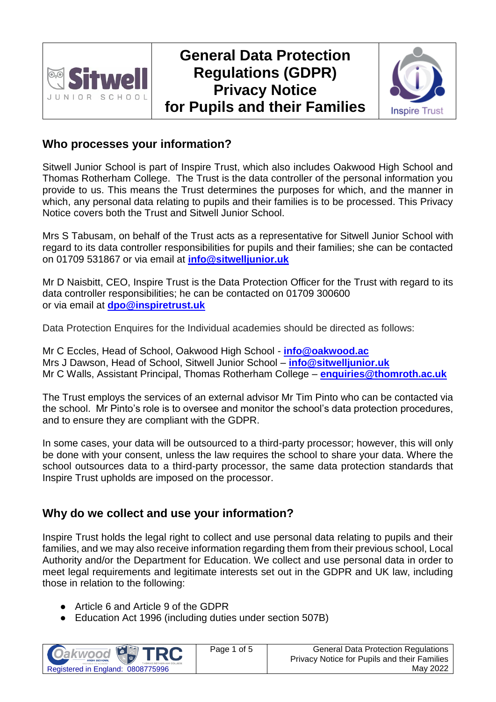

# **General Data Protection Regulations (GDPR) Privacy Notice for Pupils and their Families**



#### **Who processes your information?**

Sitwell Junior School is part of Inspire Trust, which also includes Oakwood High School and Thomas Rotherham College. The Trust is the data controller of the personal information you provide to us. This means the Trust determines the purposes for which, and the manner in which, any personal data relating to pupils and their families is to be processed. This Privacy Notice covers both the Trust and Sitwell Junior School.

Mrs S Tabusam, on behalf of the Trust acts as a representative for Sitwell Junior School with regard to its data controller responsibilities for pupils and their families; she can be contacted on 01709 531867 or via email at **[info@sitwelljunior.uk](mailto:info@sitwelljunior.uk)**

Mr D Naisbitt, CEO, Inspire Trust is the Data Protection Officer for the Trust with regard to its data controller responsibilities; he can be contacted on 01709 300600 or via email at **[dpo@inspiretrust.uk](mailto:dpo@inspiretrust.uk)**

Data Protection Enquires for the Individual academies should be directed as follows:

Mr C Eccles, Head of School, Oakwood High School - **[info@oakwood.ac](mailto:info@oakwood.ac)** Mrs J Dawson, Head of School, Sitwell Junior School – **[info@sitwelljunior.uk](mailto:info@sitwelljunior.uk)** Mr C Walls, Assistant Principal, Thomas Rotherham College – **[enquiries@thomroth.ac.uk](mailto:enquiries@thomroth.ac.uk)**

The Trust employs the services of an external advisor Mr Tim Pinto who can be contacted via the school. Mr Pinto's role is to oversee and monitor the school's data protection procedures, and to ensure they are compliant with the GDPR.

In some cases, your data will be outsourced to a third-party processor; however, this will only be done with your consent, unless the law requires the school to share your data. Where the school outsources data to a third-party processor, the same data protection standards that Inspire Trust upholds are imposed on the processor.

# **Why do we collect and use your information?**

Inspire Trust holds the legal right to collect and use personal data relating to pupils and their families, and we may also receive information regarding them from their previous school, Local Authority and/or the Department for Education. We collect and use personal data in order to meet legal requirements and legitimate interests set out in the GDPR and UK law, including those in relation to the following:

- Article 6 and Article 9 of the GDPR
- Education Act 1996 (including duties under section 507B)

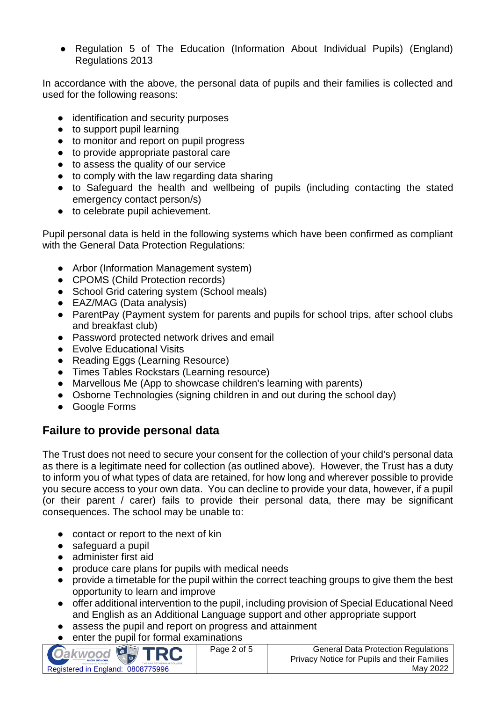● Regulation 5 of The Education (Information About Individual Pupils) (England) Regulations 2013

In accordance with the above, the personal data of pupils and their families is collected and used for the following reasons:

- identification and security purposes
- to support pupil learning
- to monitor and report on pupil progress
- to provide appropriate pastoral care
- to assess the quality of our service
- to comply with the law regarding data sharing
- to Safeguard the health and wellbeing of pupils (including contacting the stated emergency contact person/s)
- to celebrate pupil achievement.

Pupil personal data is held in the following systems which have been confirmed as compliant with the General Data Protection Regulations:

- Arbor (Information Management system)
- CPOMS (Child Protection records)
- School Grid catering system (School meals)
- EAZ/MAG (Data analysis)
- ParentPay (Payment system for parents and pupils for school trips, after school clubs and breakfast club)
- Password protected network drives and email
- Evolve Educational Visits
- Reading Eggs (Learning Resource)
- Times Tables Rockstars (Learning resource)
- Marvellous Me (App to showcase children's learning with parents)
- Osborne Technologies (signing children in and out during the school day)
- Google Forms

# **Failure to provide personal data**

The Trust does not need to secure your consent for the collection of your child's personal data as there is a legitimate need for collection (as outlined above). However, the Trust has a duty to inform you of what types of data are retained, for how long and wherever possible to provide you secure access to your own data. You can decline to provide your data, however, if a pupil (or their parent / carer) fails to provide their personal data, there may be significant consequences. The school may be unable to:

- contact or report to the next of kin
- safeguard a pupil
- administer first aid
- produce care plans for pupils with medical needs
- provide a timetable for the pupil within the correct teaching groups to give them the best opportunity to learn and improve
- offer additional intervention to the pupil, including provision of Special Educational Need and English as an Additional Language support and other appropriate support
- assess the pupil and report on progress and attainment
- enter the pupil for formal examinations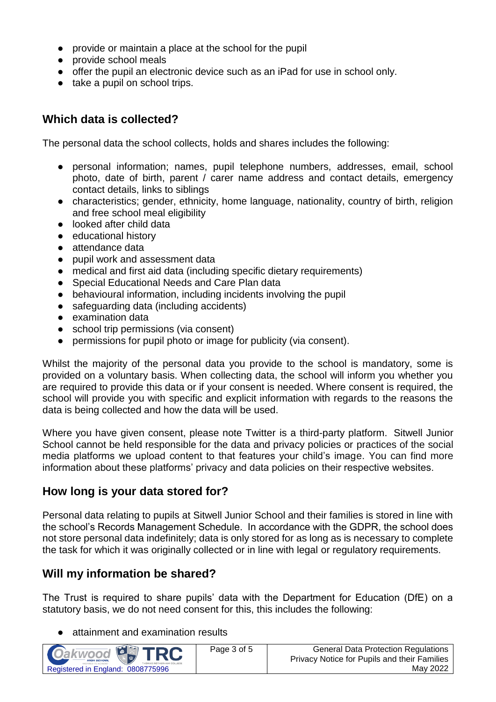- provide or maintain a place at the school for the pupil
- provide school meals
- offer the pupil an electronic device such as an iPad for use in school only.
- take a pupil on school trips.

#### **Which data is collected?**

The personal data the school collects, holds and shares includes the following:

- personal information; names, pupil telephone numbers, addresses, email, school photo, date of birth, parent / carer name address and contact details, emergency contact details, links to siblings
- characteristics; gender, ethnicity, home language, nationality, country of birth, religion and free school meal eligibility
- looked after child data
- educational history
- attendance data
- pupil work and assessment data
- medical and first aid data (including specific dietary requirements)
- Special Educational Needs and Care Plan data
- behavioural information, including incidents involving the pupil
- safeguarding data (including accidents)
- examination data
- school trip permissions (via consent)
- permissions for pupil photo or image for publicity (via consent).

Whilst the majority of the personal data you provide to the school is mandatory, some is provided on a voluntary basis. When collecting data, the school will inform you whether you are required to provide this data or if your consent is needed. Where consent is required, the school will provide you with specific and explicit information with regards to the reasons the data is being collected and how the data will be used.

Where you have given consent, please note Twitter is a third-party platform. Sitwell Junior School cannot be held responsible for the data and privacy policies or practices of the social media platforms we upload content to that features your child's image. You can find more information about these platforms' privacy and data policies on their respective websites.

# **How long is your data stored for?**

Personal data relating to pupils at Sitwell Junior School and their families is stored in line with the school's Records Management Schedule. In accordance with the GDPR, the school does not store personal data indefinitely; data is only stored for as long as is necessary to complete the task for which it was originally collected or in line with legal or regulatory requirements.

# **Will my information be shared?**

The Trust is required to share pupils' data with the Department for Education (DfE) on a statutory basis, we do not need consent for this, this includes the following:

attainment and examination results

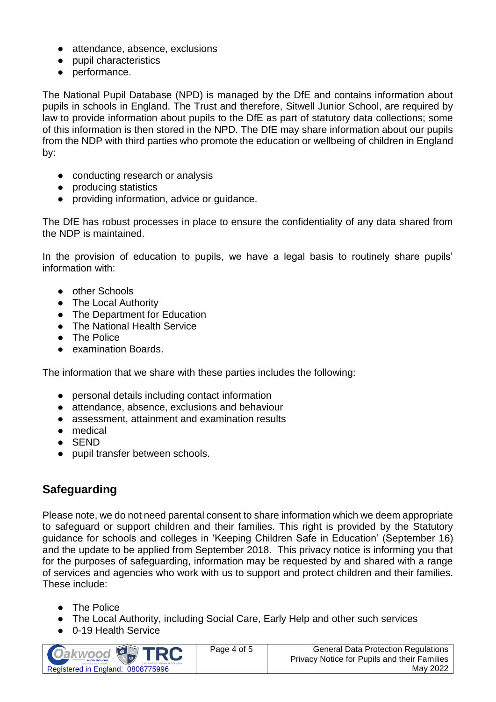- attendance, absence, exclusions
- pupil characteristics
- performance.

The National Pupil Database (NPD) is managed by the DfE and contains information about pupils in schools in England. The Trust and therefore, Sitwell Junior School, are required by law to provide information about pupils to the DfE as part of statutory data collections; some of this information is then stored in the NPD. The DfE may share information about our pupils from the NDP with third parties who promote the education or wellbeing of children in England by:

- conducting research or analysis
- producing statistics
- providing information, advice or guidance.

The DfE has robust processes in place to ensure the confidentiality of any data shared from the NDP is maintained.

In the provision of education to pupils, we have a legal basis to routinely share pupils' information with:

- other Schools
- The Local Authority
- The Department for Education
- The National Health Service
- The Police
- examination Boards.

The information that we share with these parties includes the following:

- personal details including contact information
- attendance, absence, exclusions and behaviour
- assessment, attainment and examination results
- medical
- SEND
- pupil transfer between schools.

# **Safeguarding**

Please note, we do not need parental consent to share information which we deem appropriate to safeguard or support children and their families. This right is provided by the Statutory guidance for schools and colleges in 'Keeping Children Safe in Education' (September 16) and the update to be applied from September 2018. This privacy notice is informing you that for the purposes of safeguarding, information may be requested by and shared with a range of services and agencies who work with us to support and protect children and their families. These include:

- The Police
- The Local Authority, including Social Care, Early Help and other such services
- 0-19 Health Service